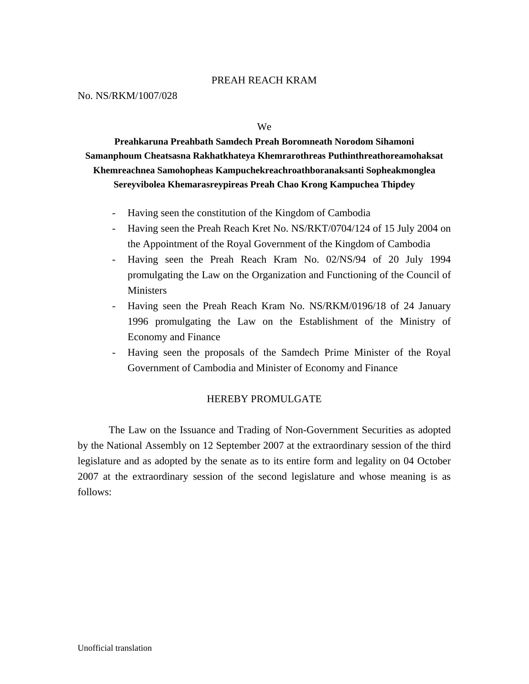#### PREAH REACH KRAM

#### No. NS/RKM/1007/028

We

**Preahkaruna Preahbath Samdech Preah Boromneath Norodom Sihamoni Samanphoum Cheatsasna Rakhatkhateya Khemrarothreas Puthinthreathoreamohaksat Khemreachnea Samohopheas Kampuchekreachroathboranaksanti Sopheakmonglea Sereyvibolea Khemarasreypireas Preah Chao Krong Kampuchea Thipdey** 

- Having seen the constitution of the Kingdom of Cambodia
- Having seen the Preah Reach Kret No. NS/RKT/0704/124 of 15 July 2004 on the Appointment of the Royal Government of the Kingdom of Cambodia
- Having seen the Preah Reach Kram No. 02/NS/94 of 20 July 1994 promulgating the Law on the Organization and Functioning of the Council of **Ministers**
- Having seen the Preah Reach Kram No. NS/RKM/0196/18 of 24 January 1996 promulgating the Law on the Establishment of the Ministry of Economy and Finance
- Having seen the proposals of the Samdech Prime Minister of the Royal Government of Cambodia and Minister of Economy and Finance

#### HEREBY PROMULGATE

 The Law on the Issuance and Trading of Non-Government Securities as adopted by the National Assembly on 12 September 2007 at the extraordinary session of the third legislature and as adopted by the senate as to its entire form and legality on 04 October 2007 at the extraordinary session of the second legislature and whose meaning is as follows: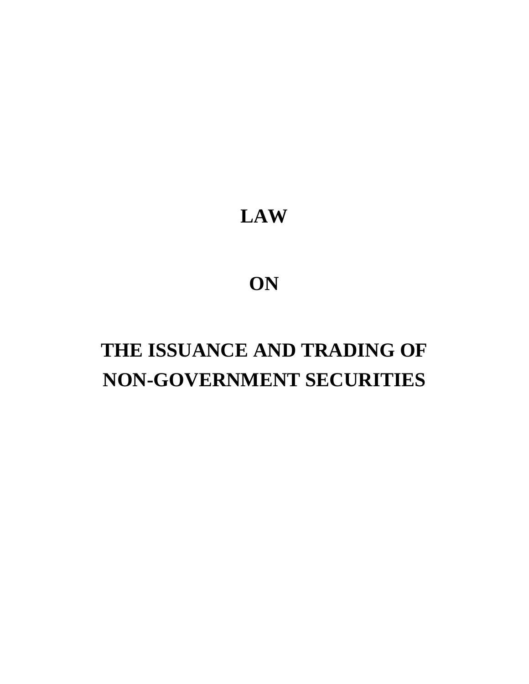# **LAW**

# **ON**

# **THE ISSUANCE AND TRADING OF NON-GOVERNMENT SECURITIES**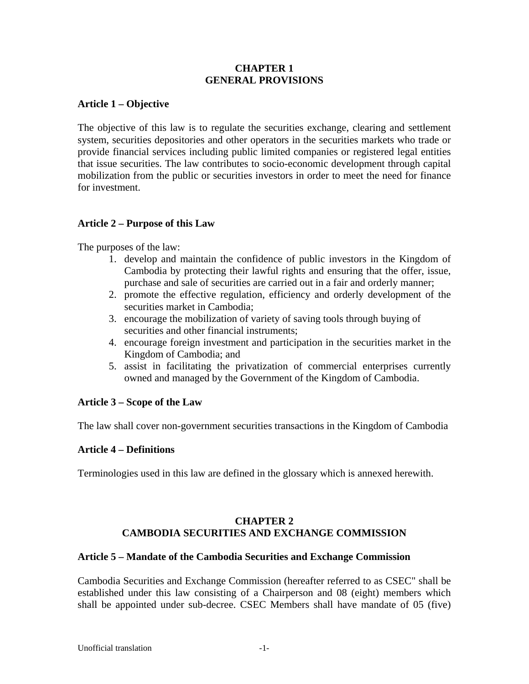#### **CHAPTER 1 GENERAL PROVISIONS**

#### **Article 1 – Objective**

The objective of this law is to regulate the securities exchange, clearing and settlement system, securities depositories and other operators in the securities markets who trade or provide financial services including public limited companies or registered legal entities that issue securities. The law contributes to socio-economic development through capital mobilization from the public or securities investors in order to meet the need for finance for investment.

#### **Article 2 – Purpose of this Law**

The purposes of the law:

- 1. develop and maintain the confidence of public investors in the Kingdom of Cambodia by protecting their lawful rights and ensuring that the offer, issue, purchase and sale of securities are carried out in a fair and orderly manner;
- 2. promote the effective regulation, efficiency and orderly development of the securities market in Cambodia;
- 3. encourage the mobilization of variety of saving tools through buying of securities and other financial instruments;
- 4. encourage foreign investment and participation in the securities market in the Kingdom of Cambodia; and
- 5. assist in facilitating the privatization of commercial enterprises currently owned and managed by the Government of the Kingdom of Cambodia.

#### **Article 3 – Scope of the Law**

The law shall cover non-government securities transactions in the Kingdom of Cambodia

#### **Article 4 – Definitions**

Terminologies used in this law are defined in the glossary which is annexed herewith.

#### **CHAPTER 2 CAMBODIA SECURITIES AND EXCHANGE COMMISSION**

#### **Article 5 – Mandate of the Cambodia Securities and Exchange Commission**

Cambodia Securities and Exchange Commission (hereafter referred to as CSEC" shall be established under this law consisting of a Chairperson and 08 (eight) members which shall be appointed under sub-decree. CSEC Members shall have mandate of 05 (five)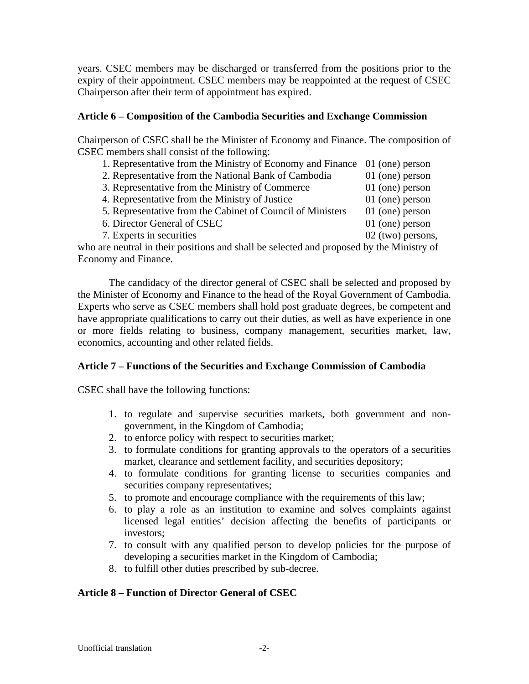years. CSEC members may be discharged or transferred from the positions prior to the expiry of their appointment. CSEC members may be reappointed at the request of CSEC Chairperson after their term of appointment has expired.

#### **Article 6 – Composition of the Cambodia Securities and Exchange Commission**

Chairperson of CSEC shall be the Minister of Economy and Finance. The composition of CSEC members shall consist of the following:

- 1. Representative from the Ministry of Economy and Finance 01 (one) person 2. Representative from the National Bank of Cambodia 01 (one) person
- 3. Representative from the Ministry of Commerce 01 (one) person
- 
- 4. Representative from the Ministry of Justice 01 (one) person
- 5. Representative from the Cabinet of Council of Ministers 01 (one) person
- 6. Director General of CSEC 01 (one) person
	-
- 7. Experts in securities 02 (two) persons,

who are neutral in their positions and shall be selected and proposed by the Ministry of Economy and Finance.

 The candidacy of the director general of CSEC shall be selected and proposed by the Minister of Economy and Finance to the head of the Royal Government of Cambodia. Experts who serve as CSEC members shall hold post graduate degrees, be competent and have appropriate qualifications to carry out their duties, as well as have experience in one or more fields relating to business, company management, securities market, law, economics, accounting and other related fields.

# **Article 7 – Functions of the Securities and Exchange Commission of Cambodia**

CSEC shall have the following functions:

- 1. to regulate and supervise securities markets, both government and nongovernment, in the Kingdom of Cambodia;
- 2. to enforce policy with respect to securities market;
- 3. to formulate conditions for granting approvals to the operators of a securities market, clearance and settlement facility, and securities depository;
- 4. to formulate conditions for granting license to securities companies and securities company representatives;
- 5. to promote and encourage compliance with the requirements of this law;
- 6. to play a role as an institution to examine and solves complaints against licensed legal entities' decision affecting the benefits of participants or investors;
- 7. to consult with any qualified person to develop policies for the purpose of developing a securities market in the Kingdom of Cambodia;
- 8. to fulfill other duties prescribed by sub-decree.

# **Article 8 – Function of Director General of CSEC**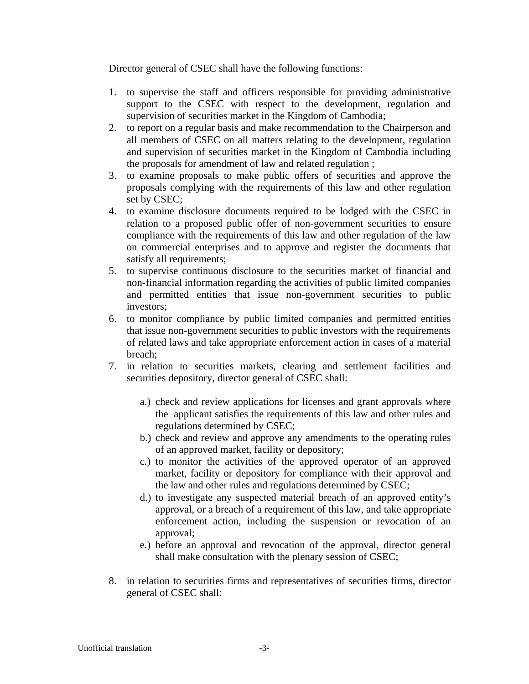Director general of CSEC shall have the following functions:

- 1. to supervise the staff and officers responsible for providing administrative support to the CSEC with respect to the development, regulation and supervision of securities market in the Kingdom of Cambodia;
- 2. to report on a regular basis and make recommendation to the Chairperson and all members of CSEC on all matters relating to the development, regulation and supervision of securities market in the Kingdom of Cambodia including the proposals for amendment of law and related regulation ;
- 3. to examine proposals to make public offers of securities and approve the proposals complying with the requirements of this law and other regulation set by CSEC;
- 4. to examine disclosure documents required to be lodged with the CSEC in relation to a proposed public offer of non-government securities to ensure compliance with the requirements of this law and other regulation of the law on commercial enterprises and to approve and register the documents that satisfy all requirements;
- 5. to supervise continuous disclosure to the securities market of financial and non-financial information regarding the activities of public limited companies and permitted entities that issue non-government securities to public investors;
- 6. to monitor compliance by public limited companies and permitted entities that issue non-government securities to public investors with the requirements of related laws and take appropriate enforcement action in cases of a material breach;
- 7. in relation to securities markets, clearing and settlement facilities and securities depository, director general of CSEC shall:
	- a.) check and review applications for licenses and grant approvals where the applicant satisfies the requirements of this law and other rules and regulations determined by CSEC;
	- b.) check and review and approve any amendments to the operating rules of an approved market, facility or depository;
	- c.) to monitor the activities of the approved operator of an approved market, facility or depository for compliance with their approval and the law and other rules and regulations determined by CSEC;
	- d.) to investigate any suspected material breach of an approved entity's approval, or a breach of a requirement of this law, and take appropriate enforcement action, including the suspension or revocation of an approval;
	- e.) before an approval and revocation of the approval, director general shall make consultation with the plenary session of CSEC;
- 8. in relation to securities firms and representatives of securities firms, director general of CSEC shall: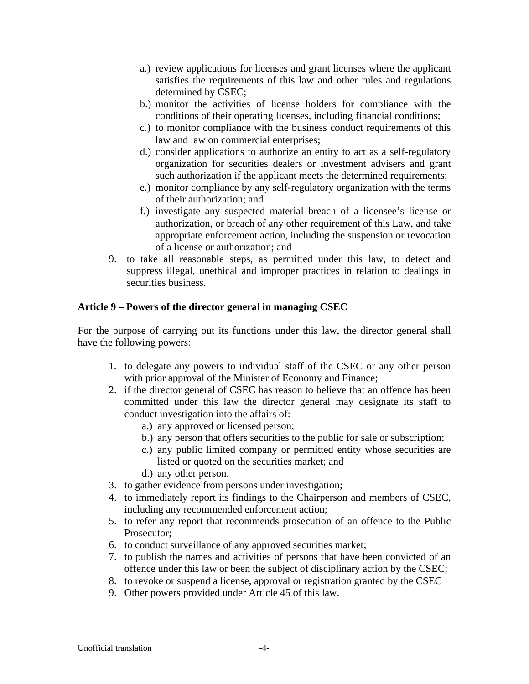- a.) review applications for licenses and grant licenses where the applicant satisfies the requirements of this law and other rules and regulations determined by CSEC;
- b.) monitor the activities of license holders for compliance with the conditions of their operating licenses, including financial conditions;
- c.) to monitor compliance with the business conduct requirements of this law and law on commercial enterprises;
- d.) consider applications to authorize an entity to act as a self-regulatory organization for securities dealers or investment advisers and grant such authorization if the applicant meets the determined requirements;
- e.) monitor compliance by any self-regulatory organization with the terms of their authorization; and
- f.) investigate any suspected material breach of a licensee's license or authorization, or breach of any other requirement of this Law, and take appropriate enforcement action, including the suspension or revocation of a license or authorization; and
- 9. to take all reasonable steps, as permitted under this law, to detect and suppress illegal, unethical and improper practices in relation to dealings in securities business.

#### **Article 9 – Powers of the director general in managing CSEC**

For the purpose of carrying out its functions under this law, the director general shall have the following powers:

- 1. to delegate any powers to individual staff of the CSEC or any other person with prior approval of the Minister of Economy and Finance;
- 2. if the director general of CSEC has reason to believe that an offence has been committed under this law the director general may designate its staff to conduct investigation into the affairs of:
	- a.) any approved or licensed person;
	- b.) any person that offers securities to the public for sale or subscription;
	- c.) any public limited company or permitted entity whose securities are listed or quoted on the securities market; and
	- d.) any other person.
- 3. to gather evidence from persons under investigation;
- 4. to immediately report its findings to the Chairperson and members of CSEC, including any recommended enforcement action;
- 5. to refer any report that recommends prosecution of an offence to the Public Prosecutor;
- 6. to conduct surveillance of any approved securities market;
- 7. to publish the names and activities of persons that have been convicted of an offence under this law or been the subject of disciplinary action by the CSEC;
- 8. to revoke or suspend a license, approval or registration granted by the CSEC
- 9. Other powers provided under Article 45 of this law.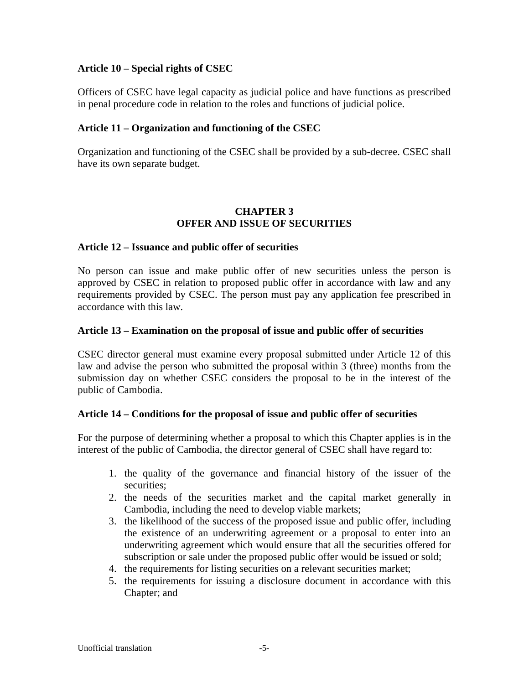#### **Article 10 – Special rights of CSEC**

Officers of CSEC have legal capacity as judicial police and have functions as prescribed in penal procedure code in relation to the roles and functions of judicial police.

#### **Article 11 – Organization and functioning of the CSEC**

Organization and functioning of the CSEC shall be provided by a sub-decree. CSEC shall have its own separate budget.

#### **CHAPTER 3 OFFER AND ISSUE OF SECURITIES**

#### **Article 12 – Issuance and public offer of securities**

No person can issue and make public offer of new securities unless the person is approved by CSEC in relation to proposed public offer in accordance with law and any requirements provided by CSEC. The person must pay any application fee prescribed in accordance with this law.

#### **Article 13 – Examination on the proposal of issue and public offer of securities**

CSEC director general must examine every proposal submitted under Article 12 of this law and advise the person who submitted the proposal within 3 (three) months from the submission day on whether CSEC considers the proposal to be in the interest of the public of Cambodia.

#### **Article 14 – Conditions for the proposal of issue and public offer of securities**

For the purpose of determining whether a proposal to which this Chapter applies is in the interest of the public of Cambodia, the director general of CSEC shall have regard to:

- 1. the quality of the governance and financial history of the issuer of the securities;
- 2. the needs of the securities market and the capital market generally in Cambodia, including the need to develop viable markets;
- 3. the likelihood of the success of the proposed issue and public offer, including the existence of an underwriting agreement or a proposal to enter into an underwriting agreement which would ensure that all the securities offered for subscription or sale under the proposed public offer would be issued or sold;
- 4. the requirements for listing securities on a relevant securities market;
- 5. the requirements for issuing a disclosure document in accordance with this Chapter; and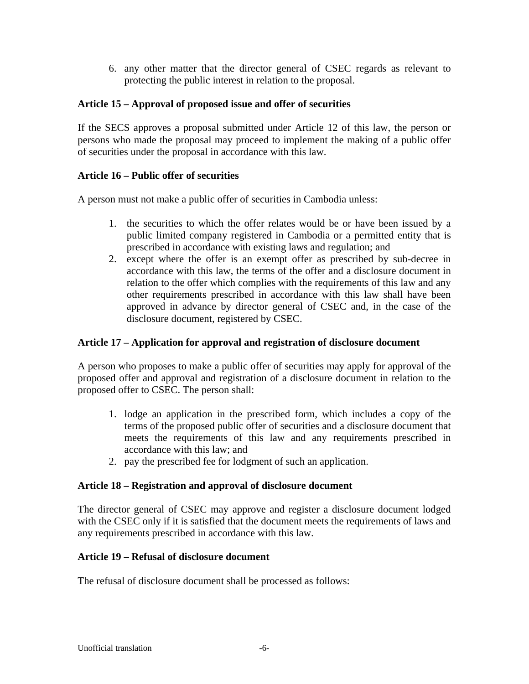6. any other matter that the director general of CSEC regards as relevant to protecting the public interest in relation to the proposal.

# **Article 15 – Approval of proposed issue and offer of securities**

If the SECS approves a proposal submitted under Article 12 of this law, the person or persons who made the proposal may proceed to implement the making of a public offer of securities under the proposal in accordance with this law.

#### **Article 16 – Public offer of securities**

A person must not make a public offer of securities in Cambodia unless:

- 1. the securities to which the offer relates would be or have been issued by a public limited company registered in Cambodia or a permitted entity that is prescribed in accordance with existing laws and regulation; and
- 2. except where the offer is an exempt offer as prescribed by sub-decree in accordance with this law, the terms of the offer and a disclosure document in relation to the offer which complies with the requirements of this law and any other requirements prescribed in accordance with this law shall have been approved in advance by director general of CSEC and, in the case of the disclosure document, registered by CSEC.

# **Article 17 – Application for approval and registration of disclosure document**

A person who proposes to make a public offer of securities may apply for approval of the proposed offer and approval and registration of a disclosure document in relation to the proposed offer to CSEC. The person shall:

- 1. lodge an application in the prescribed form, which includes a copy of the terms of the proposed public offer of securities and a disclosure document that meets the requirements of this law and any requirements prescribed in accordance with this law; and
- 2. pay the prescribed fee for lodgment of such an application.

#### **Article 18 – Registration and approval of disclosure document**

The director general of CSEC may approve and register a disclosure document lodged with the CSEC only if it is satisfied that the document meets the requirements of laws and any requirements prescribed in accordance with this law.

# **Article 19 – Refusal of disclosure document**

The refusal of disclosure document shall be processed as follows: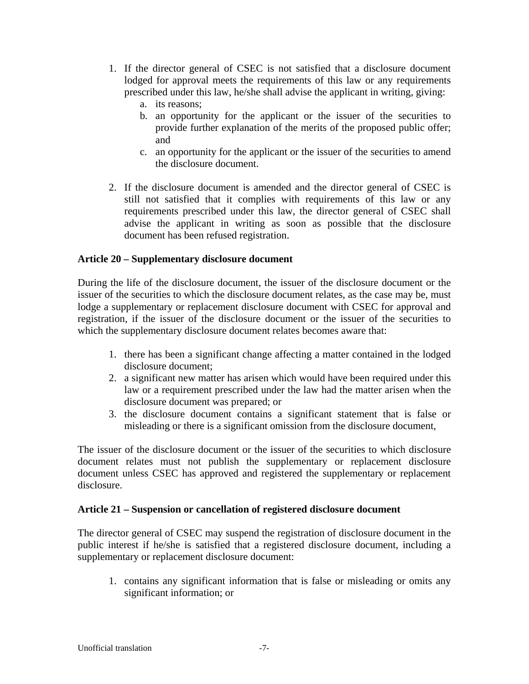- 1. If the director general of CSEC is not satisfied that a disclosure document lodged for approval meets the requirements of this law or any requirements prescribed under this law, he/she shall advise the applicant in writing, giving:
	- a. its reasons;
	- b. an opportunity for the applicant or the issuer of the securities to provide further explanation of the merits of the proposed public offer; and
	- c. an opportunity for the applicant or the issuer of the securities to amend the disclosure document.
- 2. If the disclosure document is amended and the director general of CSEC is still not satisfied that it complies with requirements of this law or any requirements prescribed under this law, the director general of CSEC shall advise the applicant in writing as soon as possible that the disclosure document has been refused registration.

#### **Article 20 – Supplementary disclosure document**

During the life of the disclosure document, the issuer of the disclosure document or the issuer of the securities to which the disclosure document relates, as the case may be, must lodge a supplementary or replacement disclosure document with CSEC for approval and registration, if the issuer of the disclosure document or the issuer of the securities to which the supplementary disclosure document relates becomes aware that:

- 1. there has been a significant change affecting a matter contained in the lodged disclosure document;
- 2. a significant new matter has arisen which would have been required under this law or a requirement prescribed under the law had the matter arisen when the disclosure document was prepared; or
- 3. the disclosure document contains a significant statement that is false or misleading or there is a significant omission from the disclosure document,

The issuer of the disclosure document or the issuer of the securities to which disclosure document relates must not publish the supplementary or replacement disclosure document unless CSEC has approved and registered the supplementary or replacement disclosure.

#### **Article 21 – Suspension or cancellation of registered disclosure document**

The director general of CSEC may suspend the registration of disclosure document in the public interest if he/she is satisfied that a registered disclosure document, including a supplementary or replacement disclosure document:

1. contains any significant information that is false or misleading or omits any significant information; or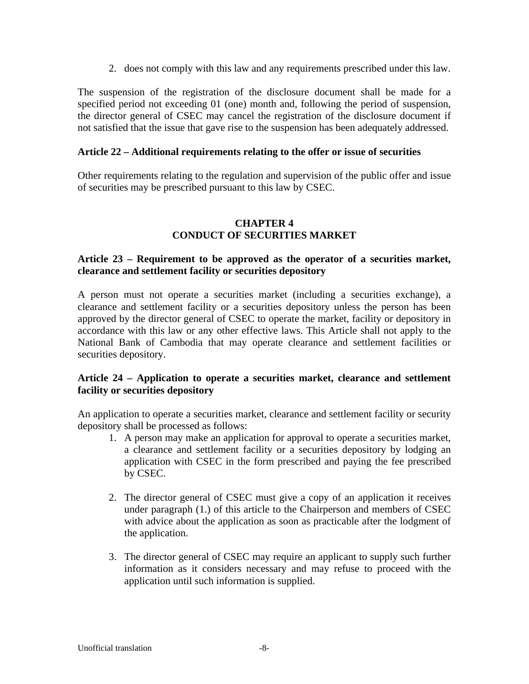2. does not comply with this law and any requirements prescribed under this law.

The suspension of the registration of the disclosure document shall be made for a specified period not exceeding 01 (one) month and, following the period of suspension, the director general of CSEC may cancel the registration of the disclosure document if not satisfied that the issue that gave rise to the suspension has been adequately addressed.

#### **Article 22 – Additional requirements relating to the offer or issue of securities**

Other requirements relating to the regulation and supervision of the public offer and issue of securities may be prescribed pursuant to this law by CSEC.

# **CHAPTER 4 CONDUCT OF SECURITIES MARKET**

#### **Article 23 – Requirement to be approved as the operator of a securities market, clearance and settlement facility or securities depository**

A person must not operate a securities market (including a securities exchange), a clearance and settlement facility or a securities depository unless the person has been approved by the director general of CSEC to operate the market, facility or depository in accordance with this law or any other effective laws. This Article shall not apply to the National Bank of Cambodia that may operate clearance and settlement facilities or securities depository.

#### **Article 24 – Application to operate a securities market, clearance and settlement facility or securities depository**

An application to operate a securities market, clearance and settlement facility or security depository shall be processed as follows:

- 1. A person may make an application for approval to operate a securities market, a clearance and settlement facility or a securities depository by lodging an application with CSEC in the form prescribed and paying the fee prescribed by CSEC.
- 2. The director general of CSEC must give a copy of an application it receives under paragraph (1.) of this article to the Chairperson and members of CSEC with advice about the application as soon as practicable after the lodgment of the application.
- 3. The director general of CSEC may require an applicant to supply such further information as it considers necessary and may refuse to proceed with the application until such information is supplied.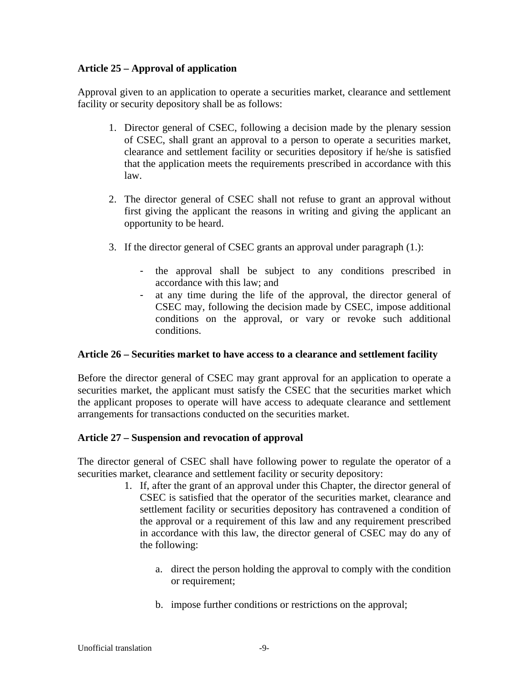# **Article 25 – Approval of application**

Approval given to an application to operate a securities market, clearance and settlement facility or security depository shall be as follows:

- 1. Director general of CSEC, following a decision made by the plenary session of CSEC, shall grant an approval to a person to operate a securities market, clearance and settlement facility or securities depository if he/she is satisfied that the application meets the requirements prescribed in accordance with this law.
- 2. The director general of CSEC shall not refuse to grant an approval without first giving the applicant the reasons in writing and giving the applicant an opportunity to be heard.
- 3. If the director general of CSEC grants an approval under paragraph (1.):
	- the approval shall be subject to any conditions prescribed in accordance with this law; and
	- at any time during the life of the approval, the director general of CSEC may, following the decision made by CSEC, impose additional conditions on the approval, or vary or revoke such additional conditions.

#### **Article 26 – Securities market to have access to a clearance and settlement facility**

Before the director general of CSEC may grant approval for an application to operate a securities market, the applicant must satisfy the CSEC that the securities market which the applicant proposes to operate will have access to adequate clearance and settlement arrangements for transactions conducted on the securities market.

# **Article 27 – Suspension and revocation of approval**

The director general of CSEC shall have following power to regulate the operator of a securities market, clearance and settlement facility or security depository:

- 1. If, after the grant of an approval under this Chapter, the director general of CSEC is satisfied that the operator of the securities market, clearance and settlement facility or securities depository has contravened a condition of the approval or a requirement of this law and any requirement prescribed in accordance with this law, the director general of CSEC may do any of the following:
	- a. direct the person holding the approval to comply with the condition or requirement;
	- b. impose further conditions or restrictions on the approval;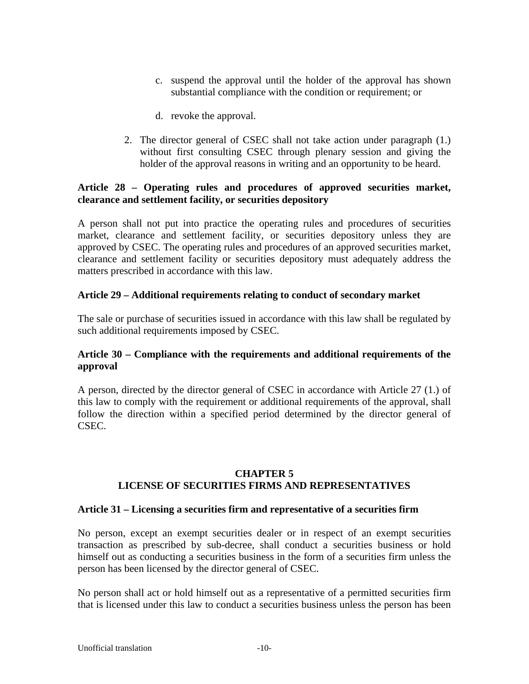- c. suspend the approval until the holder of the approval has shown substantial compliance with the condition or requirement; or
- d. revoke the approval.
- 2. The director general of CSEC shall not take action under paragraph (1.) without first consulting CSEC through plenary session and giving the holder of the approval reasons in writing and an opportunity to be heard.

#### **Article 28 – Operating rules and procedures of approved securities market, clearance and settlement facility, or securities depository**

A person shall not put into practice the operating rules and procedures of securities market, clearance and settlement facility, or securities depository unless they are approved by CSEC. The operating rules and procedures of an approved securities market, clearance and settlement facility or securities depository must adequately address the matters prescribed in accordance with this law.

#### **Article 29 – Additional requirements relating to conduct of secondary market**

The sale or purchase of securities issued in accordance with this law shall be regulated by such additional requirements imposed by CSEC.

#### **Article 30 – Compliance with the requirements and additional requirements of the approval**

A person, directed by the director general of CSEC in accordance with Article 27 (1.) of this law to comply with the requirement or additional requirements of the approval, shall follow the direction within a specified period determined by the director general of CSEC.

#### **CHAPTER 5 LICENSE OF SECURITIES FIRMS AND REPRESENTATIVES**

#### **Article 31 – Licensing a securities firm and representative of a securities firm**

No person, except an exempt securities dealer or in respect of an exempt securities transaction as prescribed by sub-decree, shall conduct a securities business or hold himself out as conducting a securities business in the form of a securities firm unless the person has been licensed by the director general of CSEC.

No person shall act or hold himself out as a representative of a permitted securities firm that is licensed under this law to conduct a securities business unless the person has been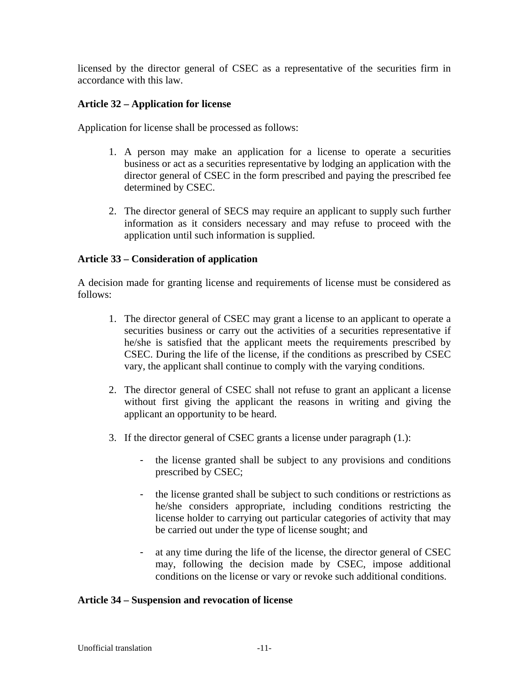licensed by the director general of CSEC as a representative of the securities firm in accordance with this law.

#### **Article 32 – Application for license**

Application for license shall be processed as follows:

- 1. A person may make an application for a license to operate a securities business or act as a securities representative by lodging an application with the director general of CSEC in the form prescribed and paying the prescribed fee determined by CSEC.
- 2. The director general of SECS may require an applicant to supply such further information as it considers necessary and may refuse to proceed with the application until such information is supplied.

#### **Article 33 – Consideration of application**

A decision made for granting license and requirements of license must be considered as follows:

- 1. The director general of CSEC may grant a license to an applicant to operate a securities business or carry out the activities of a securities representative if he/she is satisfied that the applicant meets the requirements prescribed by CSEC. During the life of the license, if the conditions as prescribed by CSEC vary, the applicant shall continue to comply with the varying conditions.
- 2. The director general of CSEC shall not refuse to grant an applicant a license without first giving the applicant the reasons in writing and giving the applicant an opportunity to be heard.
- 3. If the director general of CSEC grants a license under paragraph (1.):
	- the license granted shall be subject to any provisions and conditions prescribed by CSEC;
	- the license granted shall be subject to such conditions or restrictions as he/she considers appropriate, including conditions restricting the license holder to carrying out particular categories of activity that may be carried out under the type of license sought; and
	- at any time during the life of the license, the director general of CSEC may, following the decision made by CSEC, impose additional conditions on the license or vary or revoke such additional conditions.

#### **Article 34 – Suspension and revocation of license**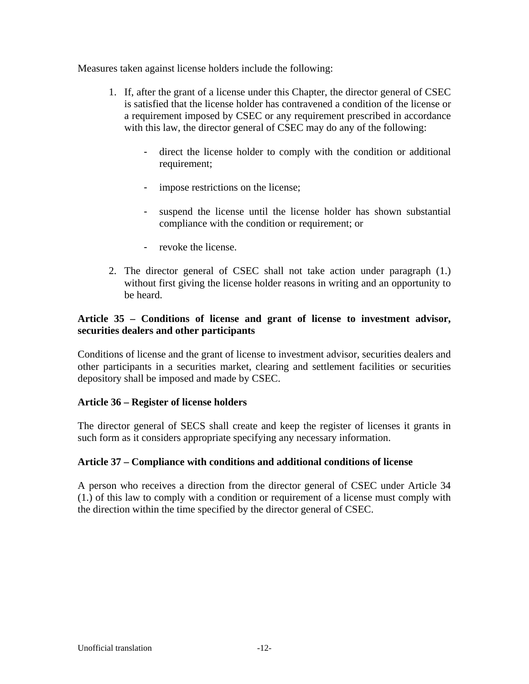Measures taken against license holders include the following:

- 1. If, after the grant of a license under this Chapter, the director general of CSEC is satisfied that the license holder has contravened a condition of the license or a requirement imposed by CSEC or any requirement prescribed in accordance with this law, the director general of CSEC may do any of the following:
	- direct the license holder to comply with the condition or additional requirement;
	- impose restrictions on the license;
	- suspend the license until the license holder has shown substantial compliance with the condition or requirement; or
	- revoke the license.
- 2. The director general of CSEC shall not take action under paragraph (1.) without first giving the license holder reasons in writing and an opportunity to be heard.

# **Article 35 – Conditions of license and grant of license to investment advisor, securities dealers and other participants**

Conditions of license and the grant of license to investment advisor, securities dealers and other participants in a securities market, clearing and settlement facilities or securities depository shall be imposed and made by CSEC.

# **Article 36 – Register of license holders**

The director general of SECS shall create and keep the register of licenses it grants in such form as it considers appropriate specifying any necessary information.

# **Article 37 – Compliance with conditions and additional conditions of license**

A person who receives a direction from the director general of CSEC under Article 34 (1.) of this law to comply with a condition or requirement of a license must comply with the direction within the time specified by the director general of CSEC.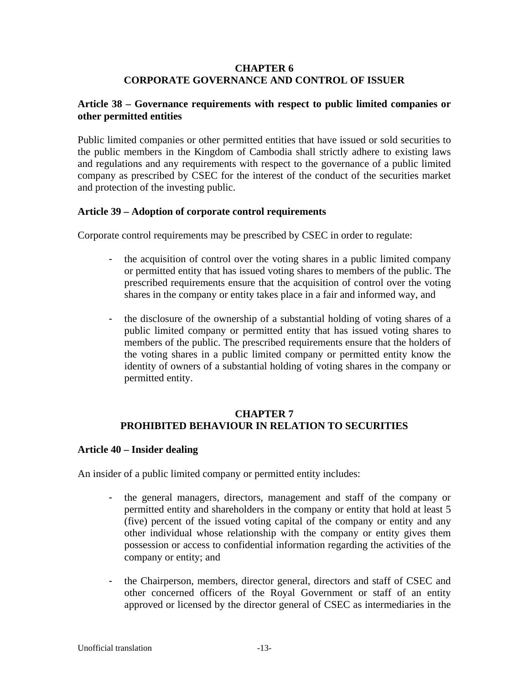#### **CHAPTER 6 CORPORATE GOVERNANCE AND CONTROL OF ISSUER**

#### **Article 38 – Governance requirements with respect to public limited companies or other permitted entities**

Public limited companies or other permitted entities that have issued or sold securities to the public members in the Kingdom of Cambodia shall strictly adhere to existing laws and regulations and any requirements with respect to the governance of a public limited company as prescribed by CSEC for the interest of the conduct of the securities market and protection of the investing public.

#### **Article 39 – Adoption of corporate control requirements**

Corporate control requirements may be prescribed by CSEC in order to regulate:

- the acquisition of control over the voting shares in a public limited company or permitted entity that has issued voting shares to members of the public. The prescribed requirements ensure that the acquisition of control over the voting shares in the company or entity takes place in a fair and informed way, and
- the disclosure of the ownership of a substantial holding of voting shares of a public limited company or permitted entity that has issued voting shares to members of the public. The prescribed requirements ensure that the holders of the voting shares in a public limited company or permitted entity know the identity of owners of a substantial holding of voting shares in the company or permitted entity.

# **CHAPTER 7 PROHIBITED BEHAVIOUR IN RELATION TO SECURITIES**

#### **Article 40 – Insider dealing**

An insider of a public limited company or permitted entity includes:

- the general managers, directors, management and staff of the company or permitted entity and shareholders in the company or entity that hold at least 5 (five) percent of the issued voting capital of the company or entity and any other individual whose relationship with the company or entity gives them possession or access to confidential information regarding the activities of the company or entity; and
- the Chairperson, members, director general, directors and staff of CSEC and other concerned officers of the Royal Government or staff of an entity approved or licensed by the director general of CSEC as intermediaries in the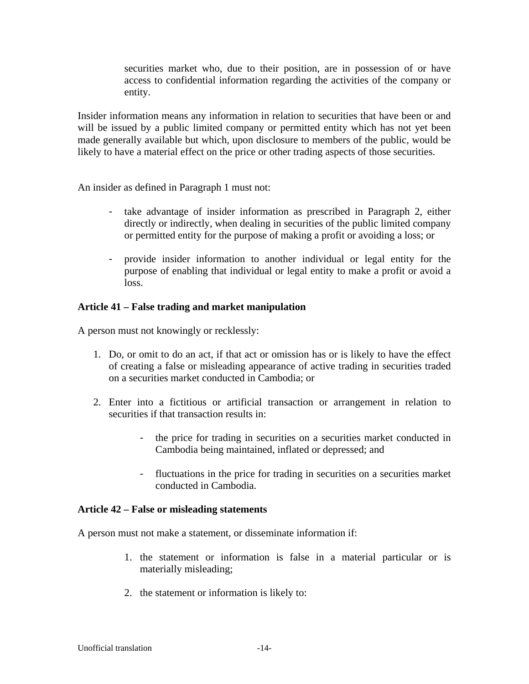securities market who, due to their position, are in possession of or have access to confidential information regarding the activities of the company or entity.

Insider information means any information in relation to securities that have been or and will be issued by a public limited company or permitted entity which has not yet been made generally available but which, upon disclosure to members of the public, would be likely to have a material effect on the price or other trading aspects of those securities.

An insider as defined in Paragraph 1 must not:

- take advantage of insider information as prescribed in Paragraph 2, either directly or indirectly, when dealing in securities of the public limited company or permitted entity for the purpose of making a profit or avoiding a loss; or
- provide insider information to another individual or legal entity for the purpose of enabling that individual or legal entity to make a profit or avoid a loss.

#### **Article 41 – False trading and market manipulation**

A person must not knowingly or recklessly:

- 1. Do, or omit to do an act, if that act or omission has or is likely to have the effect of creating a false or misleading appearance of active trading in securities traded on a securities market conducted in Cambodia; or
- 2. Enter into a fictitious or artificial transaction or arrangement in relation to securities if that transaction results in:
	- the price for trading in securities on a securities market conducted in Cambodia being maintained, inflated or depressed; and
	- fluctuations in the price for trading in securities on a securities market conducted in Cambodia.

#### **Article 42 – False or misleading statements**

A person must not make a statement, or disseminate information if:

- 1. the statement or information is false in a material particular or is materially misleading;
- 2. the statement or information is likely to: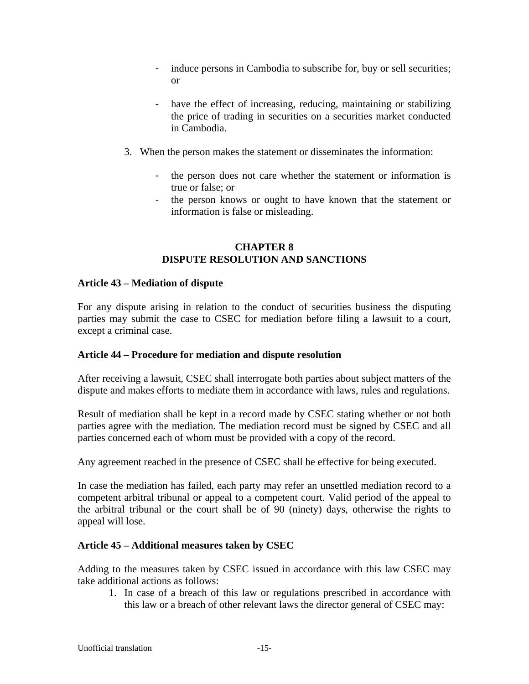- induce persons in Cambodia to subscribe for, buy or sell securities; or
- have the effect of increasing, reducing, maintaining or stabilizing the price of trading in securities on a securities market conducted in Cambodia.
- 3. When the person makes the statement or disseminates the information:
	- the person does not care whether the statement or information is true or false; or
	- the person knows or ought to have known that the statement or information is false or misleading.

# **CHAPTER 8 DISPUTE RESOLUTION AND SANCTIONS**

#### **Article 43 – Mediation of dispute**

For any dispute arising in relation to the conduct of securities business the disputing parties may submit the case to CSEC for mediation before filing a lawsuit to a court, except a criminal case.

#### **Article 44 – Procedure for mediation and dispute resolution**

After receiving a lawsuit, CSEC shall interrogate both parties about subject matters of the dispute and makes efforts to mediate them in accordance with laws, rules and regulations.

Result of mediation shall be kept in a record made by CSEC stating whether or not both parties agree with the mediation. The mediation record must be signed by CSEC and all parties concerned each of whom must be provided with a copy of the record.

Any agreement reached in the presence of CSEC shall be effective for being executed.

In case the mediation has failed, each party may refer an unsettled mediation record to a competent arbitral tribunal or appeal to a competent court. Valid period of the appeal to the arbitral tribunal or the court shall be of 90 (ninety) days, otherwise the rights to appeal will lose.

#### **Article 45 – Additional measures taken by CSEC**

Adding to the measures taken by CSEC issued in accordance with this law CSEC may take additional actions as follows:

1. In case of a breach of this law or regulations prescribed in accordance with this law or a breach of other relevant laws the director general of CSEC may: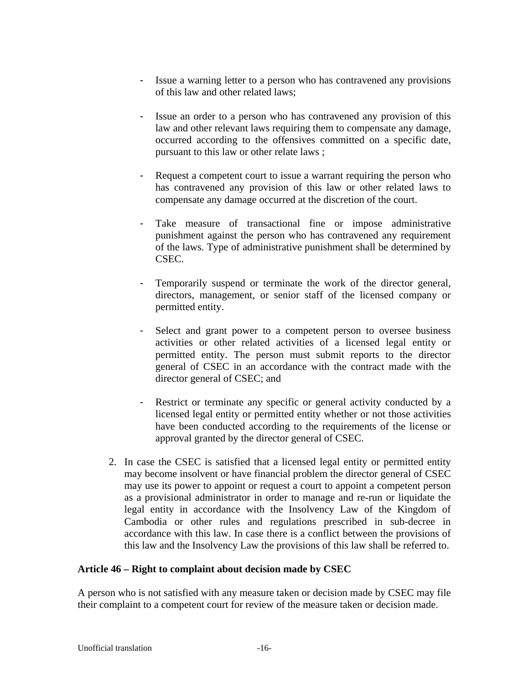- Issue a warning letter to a person who has contravened any provisions of this law and other related laws;
- Issue an order to a person who has contravened any provision of this law and other relevant laws requiring them to compensate any damage, occurred according to the offensives committed on a specific date, pursuant to this law or other relate laws ;
- Request a competent court to issue a warrant requiring the person who has contravened any provision of this law or other related laws to compensate any damage occurred at the discretion of the court.
- Take measure of transactional fine or impose administrative punishment against the person who has contravened any requirement of the laws. Type of administrative punishment shall be determined by CSEC.
- Temporarily suspend or terminate the work of the director general, directors, management, or senior staff of the licensed company or permitted entity.
- Select and grant power to a competent person to oversee business activities or other related activities of a licensed legal entity or permitted entity. The person must submit reports to the director general of CSEC in an accordance with the contract made with the director general of CSEC; and
- Restrict or terminate any specific or general activity conducted by a licensed legal entity or permitted entity whether or not those activities have been conducted according to the requirements of the license or approval granted by the director general of CSEC.
- 2. In case the CSEC is satisfied that a licensed legal entity or permitted entity may become insolvent or have financial problem the director general of CSEC may use its power to appoint or request a court to appoint a competent person as a provisional administrator in order to manage and re-run or liquidate the legal entity in accordance with the Insolvency Law of the Kingdom of Cambodia or other rules and regulations prescribed in sub-decree in accordance with this law. In case there is a conflict between the provisions of this law and the Insolvency Law the provisions of this law shall be referred to.

#### **Article 46 – Right to complaint about decision made by CSEC**

A person who is not satisfied with any measure taken or decision made by CSEC may file their complaint to a competent court for review of the measure taken or decision made.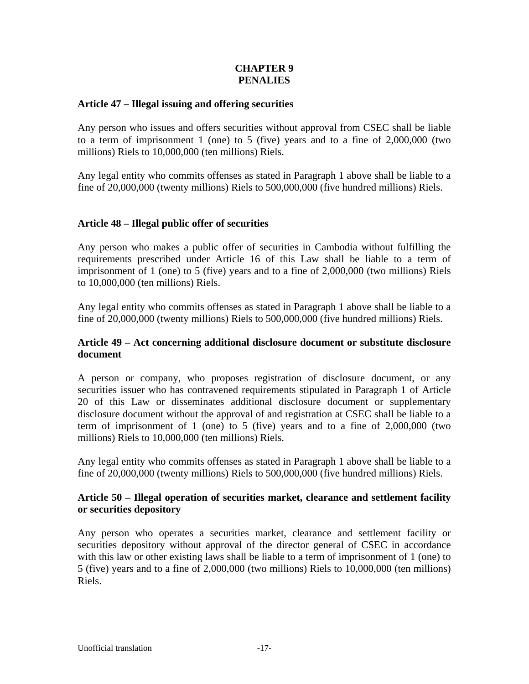# **CHAPTER 9 PENALIES**

#### **Article 47 – Illegal issuing and offering securities**

Any person who issues and offers securities without approval from CSEC shall be liable to a term of imprisonment 1 (one) to 5 (five) years and to a fine of 2,000,000 (two millions) Riels to 10,000,000 (ten millions) Riels.

Any legal entity who commits offenses as stated in Paragraph 1 above shall be liable to a fine of 20,000,000 (twenty millions) Riels to 500,000,000 (five hundred millions) Riels.

#### **Article 48 – Illegal public offer of securities**

Any person who makes a public offer of securities in Cambodia without fulfilling the requirements prescribed under Article 16 of this Law shall be liable to a term of imprisonment of 1 (one) to 5 (five) years and to a fine of 2,000,000 (two millions) Riels to 10,000,000 (ten millions) Riels.

Any legal entity who commits offenses as stated in Paragraph 1 above shall be liable to a fine of 20,000,000 (twenty millions) Riels to 500,000,000 (five hundred millions) Riels.

#### **Article 49 – Act concerning additional disclosure document or substitute disclosure document**

A person or company, who proposes registration of disclosure document, or any securities issuer who has contravened requirements stipulated in Paragraph 1 of Article 20 of this Law or disseminates additional disclosure document or supplementary disclosure document without the approval of and registration at CSEC shall be liable to a term of imprisonment of 1 (one) to 5 (five) years and to a fine of 2,000,000 (two millions) Riels to 10,000,000 (ten millions) Riels.

Any legal entity who commits offenses as stated in Paragraph 1 above shall be liable to a fine of 20,000,000 (twenty millions) Riels to 500,000,000 (five hundred millions) Riels.

#### **Article 50 – Illegal operation of securities market, clearance and settlement facility or securities depository**

Any person who operates a securities market, clearance and settlement facility or securities depository without approval of the director general of CSEC in accordance with this law or other existing laws shall be liable to a term of imprisonment of 1 (one) to 5 (five) years and to a fine of 2,000,000 (two millions) Riels to 10,000,000 (ten millions) Riels.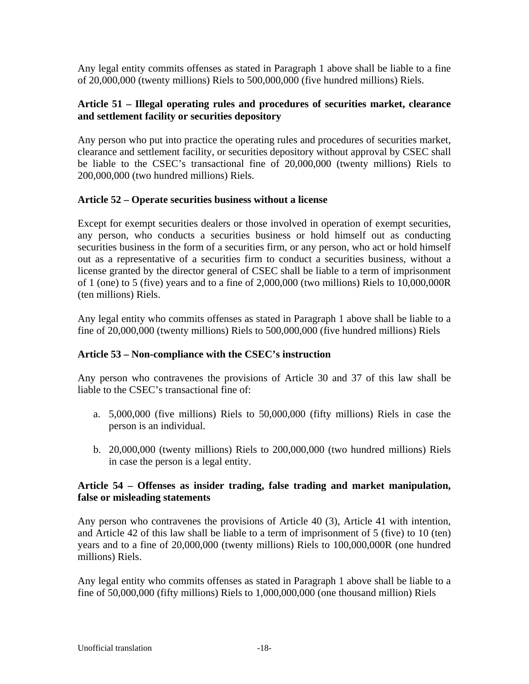Any legal entity commits offenses as stated in Paragraph 1 above shall be liable to a fine of 20,000,000 (twenty millions) Riels to 500,000,000 (five hundred millions) Riels.

#### **Article 51 – Illegal operating rules and procedures of securities market, clearance and settlement facility or securities depository**

Any person who put into practice the operating rules and procedures of securities market, clearance and settlement facility, or securities depository without approval by CSEC shall be liable to the CSEC's transactional fine of 20,000,000 (twenty millions) Riels to 200,000,000 (two hundred millions) Riels.

#### **Article 52 – Operate securities business without a license**

Except for exempt securities dealers or those involved in operation of exempt securities, any person, who conducts a securities business or hold himself out as conducting securities business in the form of a securities firm, or any person, who act or hold himself out as a representative of a securities firm to conduct a securities business, without a license granted by the director general of CSEC shall be liable to a term of imprisonment of 1 (one) to 5 (five) years and to a fine of 2,000,000 (two millions) Riels to 10,000,000R (ten millions) Riels.

Any legal entity who commits offenses as stated in Paragraph 1 above shall be liable to a fine of 20,000,000 (twenty millions) Riels to 500,000,000 (five hundred millions) Riels

# **Article 53 – Non-compliance with the CSEC's instruction**

Any person who contravenes the provisions of Article 30 and 37 of this law shall be liable to the CSEC's transactional fine of:

- a. 5,000,000 (five millions) Riels to 50,000,000 (fifty millions) Riels in case the person is an individual.
- b. 20,000,000 (twenty millions) Riels to 200,000,000 (two hundred millions) Riels in case the person is a legal entity.

#### **Article 54 – Offenses as insider trading, false trading and market manipulation, false or misleading statements**

Any person who contravenes the provisions of Article 40 (3), Article 41 with intention, and Article 42 of this law shall be liable to a term of imprisonment of 5 (five) to 10 (ten) years and to a fine of 20,000,000 (twenty millions) Riels to 100,000,000R (one hundred millions) Riels.

Any legal entity who commits offenses as stated in Paragraph 1 above shall be liable to a fine of 50,000,000 (fifty millions) Riels to 1,000,000,000 (one thousand million) Riels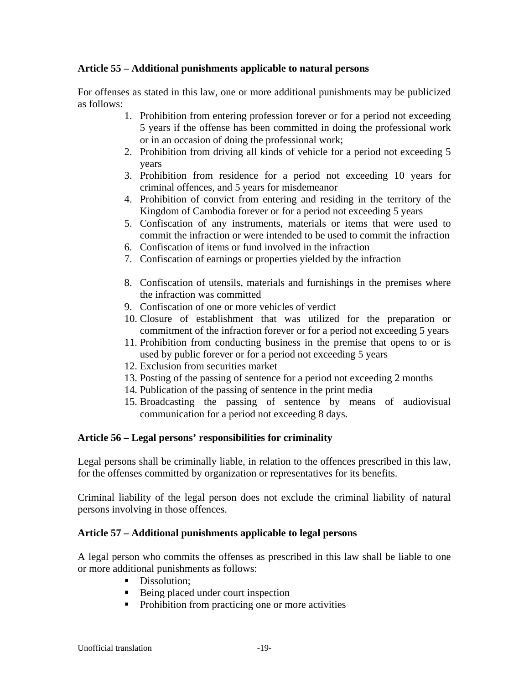#### **Article 55 – Additional punishments applicable to natural persons**

For offenses as stated in this law, one or more additional punishments may be publicized as follows:

- 1. Prohibition from entering profession forever or for a period not exceeding 5 years if the offense has been committed in doing the professional work or in an occasion of doing the professional work;
- 2. Prohibition from driving all kinds of vehicle for a period not exceeding 5 years
- 3. Prohibition from residence for a period not exceeding 10 years for criminal offences, and 5 years for misdemeanor
- 4. Prohibition of convict from entering and residing in the territory of the Kingdom of Cambodia forever or for a period not exceeding 5 years
- 5. Confiscation of any instruments, materials or items that were used to commit the infraction or were intended to be used to commit the infraction
- 6. Confiscation of items or fund involved in the infraction
- 7. Confiscation of earnings or properties yielded by the infraction
- 8. Confiscation of utensils, materials and furnishings in the premises where the infraction was committed
- 9. Confiscation of one or more vehicles of verdict
- 10. Closure of establishment that was utilized for the preparation or commitment of the infraction forever or for a period not exceeding 5 years
- 11. Prohibition from conducting business in the premise that opens to or is used by public forever or for a period not exceeding 5 years
- 12. Exclusion from securities market
- 13. Posting of the passing of sentence for a period not exceeding 2 months
- 14. Publication of the passing of sentence in the print media
- 15. Broadcasting the passing of sentence by means of audiovisual communication for a period not exceeding 8 days.

# **Article 56 – Legal persons' responsibilities for criminality**

Legal persons shall be criminally liable, in relation to the offences prescribed in this law, for the offenses committed by organization or representatives for its benefits.

Criminal liability of the legal person does not exclude the criminal liability of natural persons involving in those offences.

# **Article 57 – Additional punishments applicable to legal persons**

A legal person who commits the offenses as prescribed in this law shall be liable to one or more additional punishments as follows:

- Dissolution:
- Being placed under court inspection
- Prohibition from practicing one or more activities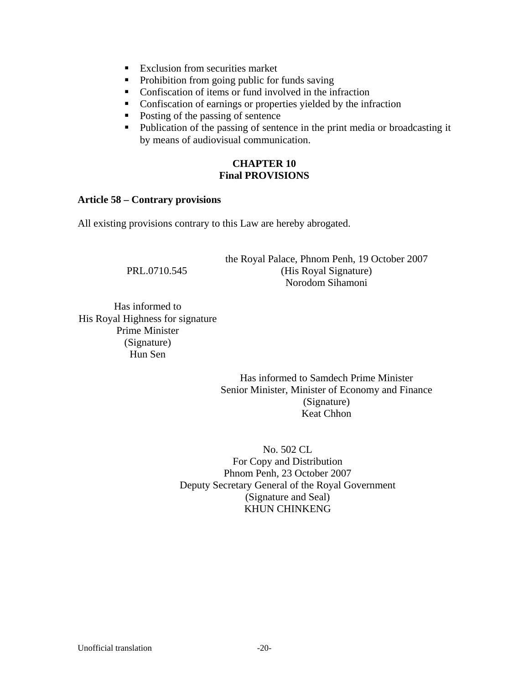- Exclusion from securities market
- Prohibition from going public for funds saving
- **Confiscation of items or fund involved in the infraction**
- Confiscation of earnings or properties yielded by the infraction
- Posting of the passing of sentence
- Publication of the passing of sentence in the print media or broadcasting it by means of audiovisual communication.

# **CHAPTER 10 Final PROVISIONS**

#### **Article 58 – Contrary provisions**

All existing provisions contrary to this Law are hereby abrogated.

|              | the Royal Palace, Phnom Penh, 19 October 2007 |
|--------------|-----------------------------------------------|
| PRL.0710.545 | (His Royal Signature)                         |
|              | Norodom Sihamoni                              |

 Has informed to His Royal Highness for signature Prime Minister (Signature) Hun Sen

> Has informed to Samdech Prime Minister Senior Minister, Minister of Economy and Finance (Signature) Keat Chhon

 No. 502 CL For Copy and Distribution Phnom Penh, 23 October 2007 Deputy Secretary General of the Royal Government (Signature and Seal) KHUN CHINKENG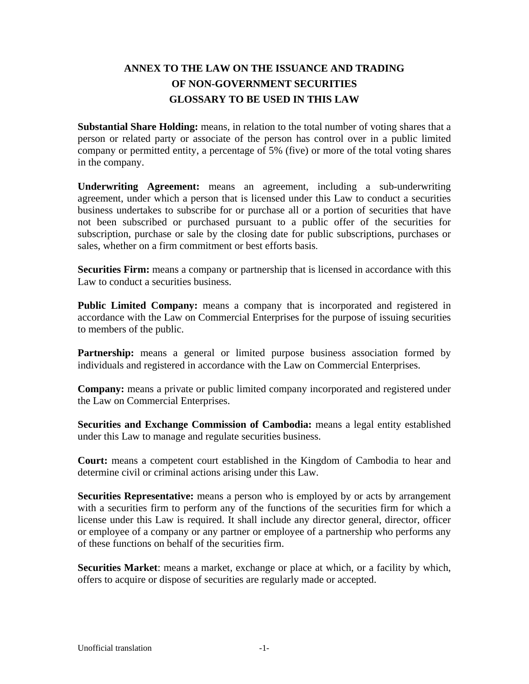# **ANNEX TO THE LAW ON THE ISSUANCE AND TRADING OF NON-GOVERNMENT SECURITIES GLOSSARY TO BE USED IN THIS LAW**

**Substantial Share Holding:** means, in relation to the total number of voting shares that a person or related party or associate of the person has control over in a public limited company or permitted entity, a percentage of 5% (five) or more of the total voting shares in the company.

**Underwriting Agreement:** means an agreement, including a sub-underwriting agreement, under which a person that is licensed under this Law to conduct a securities business undertakes to subscribe for or purchase all or a portion of securities that have not been subscribed or purchased pursuant to a public offer of the securities for subscription, purchase or sale by the closing date for public subscriptions, purchases or sales, whether on a firm commitment or best efforts basis.

**Securities Firm:** means a company or partnership that is licensed in accordance with this Law to conduct a securities business.

**Public Limited Company:** means a company that is incorporated and registered in accordance with the Law on Commercial Enterprises for the purpose of issuing securities to members of the public.

**Partnership:** means a general or limited purpose business association formed by individuals and registered in accordance with the Law on Commercial Enterprises.

**Company:** means a private or public limited company incorporated and registered under the Law on Commercial Enterprises.

**Securities and Exchange Commission of Cambodia:** means a legal entity established under this Law to manage and regulate securities business.

**Court:** means a competent court established in the Kingdom of Cambodia to hear and determine civil or criminal actions arising under this Law.

**Securities Representative:** means a person who is employed by or acts by arrangement with a securities firm to perform any of the functions of the securities firm for which a license under this Law is required. It shall include any director general, director, officer or employee of a company or any partner or employee of a partnership who performs any of these functions on behalf of the securities firm.

**Securities Market**: means a market, exchange or place at which, or a facility by which, offers to acquire or dispose of securities are regularly made or accepted.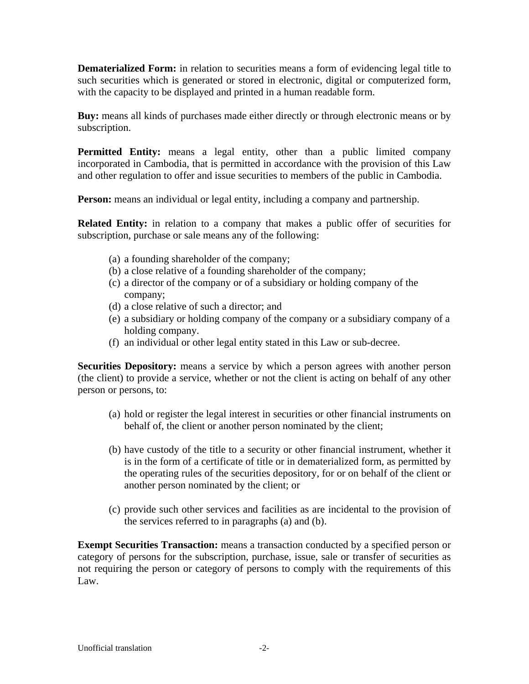**Dematerialized Form:** in relation to securities means a form of evidencing legal title to such securities which is generated or stored in electronic, digital or computerized form, with the capacity to be displayed and printed in a human readable form.

**Buy:** means all kinds of purchases made either directly or through electronic means or by subscription.

Permitted Entity: means a legal entity, other than a public limited company incorporated in Cambodia, that is permitted in accordance with the provision of this Law and other regulation to offer and issue securities to members of the public in Cambodia.

**Person:** means an individual or legal entity, including a company and partnership.

**Related Entity:** in relation to a company that makes a public offer of securities for subscription, purchase or sale means any of the following:

- (a) a founding shareholder of the company;
- (b) a close relative of a founding shareholder of the company;
- (c) a director of the company or of a subsidiary or holding company of the company;
- (d) a close relative of such a director; and
- (e) a subsidiary or holding company of the company or a subsidiary company of a holding company.
- (f) an individual or other legal entity stated in this Law or sub-decree.

**Securities Depository:** means a service by which a person agrees with another person (the client) to provide a service, whether or not the client is acting on behalf of any other person or persons, to:

- (a) hold or register the legal interest in securities or other financial instruments on behalf of, the client or another person nominated by the client;
- (b) have custody of the title to a security or other financial instrument, whether it is in the form of a certificate of title or in dematerialized form, as permitted by the operating rules of the securities depository, for or on behalf of the client or another person nominated by the client; or
- (c) provide such other services and facilities as are incidental to the provision of the services referred to in paragraphs (a) and (b).

**Exempt Securities Transaction:** means a transaction conducted by a specified person or category of persons for the subscription, purchase, issue, sale or transfer of securities as not requiring the person or category of persons to comply with the requirements of this Law.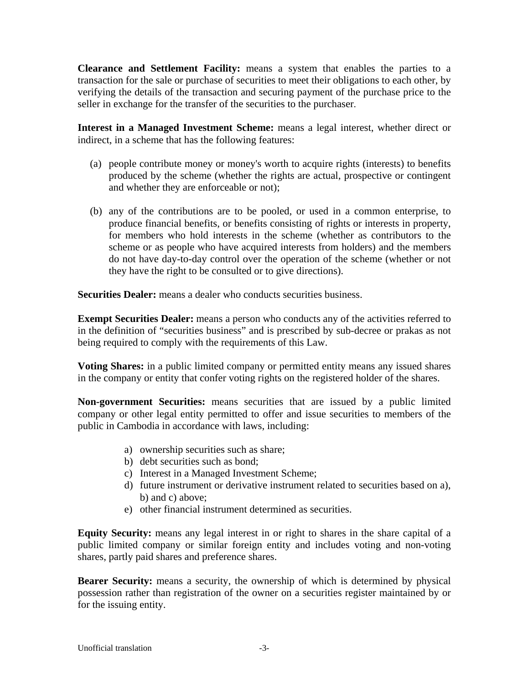**Clearance and Settlement Facility:** means a system that enables the parties to a transaction for the sale or purchase of securities to meet their obligations to each other, by verifying the details of the transaction and securing payment of the purchase price to the seller in exchange for the transfer of the securities to the purchaser.

**Interest in a Managed Investment Scheme:** means a legal interest, whether direct or indirect, in a scheme that has the following features:

- (a) people contribute money or money's worth to acquire rights (interests) to benefits produced by the scheme (whether the rights are actual, prospective or contingent and whether they are enforceable or not);
- (b) any of the contributions are to be pooled, or used in a common enterprise, to produce financial benefits, or benefits consisting of rights or interests in property, for members who hold interests in the scheme (whether as contributors to the scheme or as people who have acquired interests from holders) and the members do not have day-to-day control over the operation of the scheme (whether or not they have the right to be consulted or to give directions).

**Securities Dealer:** means a dealer who conducts securities business.

**Exempt Securities Dealer:** means a person who conducts any of the activities referred to in the definition of "securities business" and is prescribed by sub-decree or prakas as not being required to comply with the requirements of this Law.

**Voting Shares:** in a public limited company or permitted entity means any issued shares in the company or entity that confer voting rights on the registered holder of the shares.

**Non-government Securities:** means securities that are issued by a public limited company or other legal entity permitted to offer and issue securities to members of the public in Cambodia in accordance with laws, including:

- a) ownership securities such as share;
- b) debt securities such as bond;
- c) Interest in a Managed Investment Scheme;
- d) future instrument or derivative instrument related to securities based on a), b) and c) above;
- e) other financial instrument determined as securities.

**Equity Security:** means any legal interest in or right to shares in the share capital of a public limited company or similar foreign entity and includes voting and non-voting shares, partly paid shares and preference shares.

**Bearer Security:** means a security, the ownership of which is determined by physical possession rather than registration of the owner on a securities register maintained by or for the issuing entity.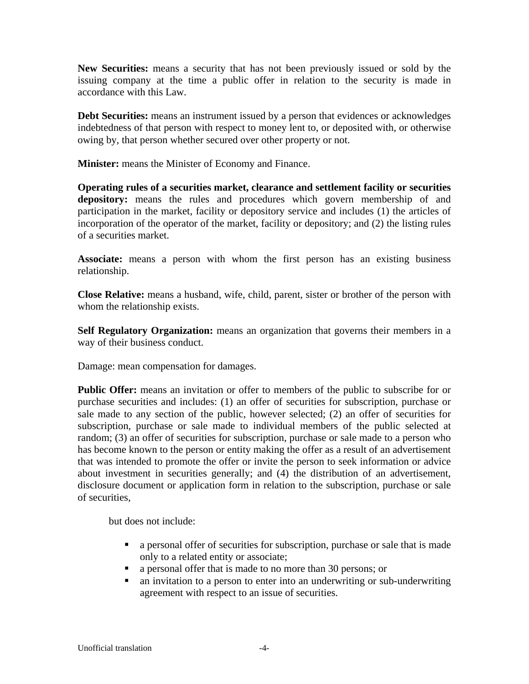**New Securities:** means a security that has not been previously issued or sold by the issuing company at the time a public offer in relation to the security is made in accordance with this Law.

**Debt Securities:** means an instrument issued by a person that evidences or acknowledges indebtedness of that person with respect to money lent to, or deposited with, or otherwise owing by, that person whether secured over other property or not.

**Minister:** means the Minister of Economy and Finance.

**Operating rules of a securities market, clearance and settlement facility or securities depository:** means the rules and procedures which govern membership of and participation in the market, facility or depository service and includes (1) the articles of incorporation of the operator of the market, facility or depository; and (2) the listing rules of a securities market.

**Associate:** means a person with whom the first person has an existing business relationship.

**Close Relative:** means a husband, wife, child, parent, sister or brother of the person with whom the relationship exists.

**Self Regulatory Organization:** means an organization that governs their members in a way of their business conduct.

Damage: mean compensation for damages.

**Public Offer:** means an invitation or offer to members of the public to subscribe for or purchase securities and includes: (1) an offer of securities for subscription, purchase or sale made to any section of the public, however selected; (2) an offer of securities for subscription, purchase or sale made to individual members of the public selected at random; (3) an offer of securities for subscription, purchase or sale made to a person who has become known to the person or entity making the offer as a result of an advertisement that was intended to promote the offer or invite the person to seek information or advice about investment in securities generally; and (4) the distribution of an advertisement, disclosure document or application form in relation to the subscription, purchase or sale of securities,

but does not include:

- a personal offer of securities for subscription, purchase or sale that is made only to a related entity or associate;
- **a** personal offer that is made to no more than 30 persons; or
- an invitation to a person to enter into an underwriting or sub-underwriting agreement with respect to an issue of securities.